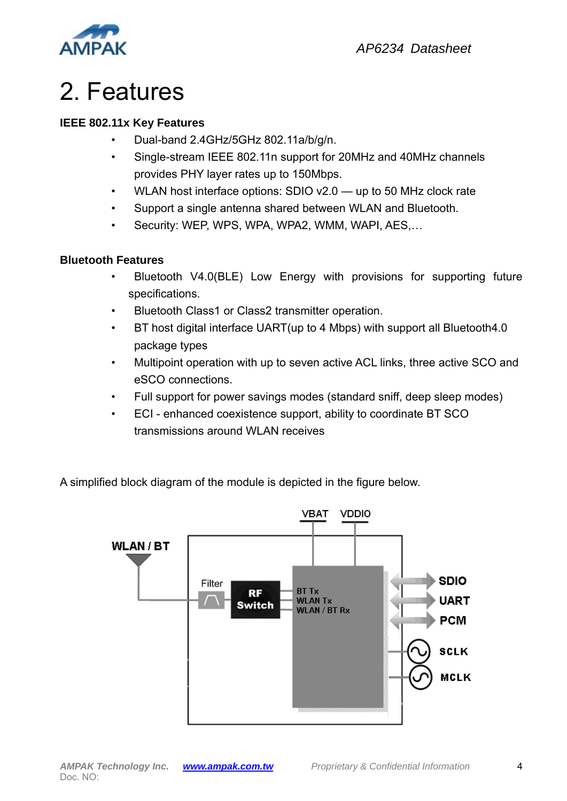

## 2. Features

#### **IEEE 802.11x Key Features**

- Dual-band 2.4GHz/5GHz 802.11a/b/g/n.
- Single-stream IEEE 802.11n support for 20MHz and 40MHz channels provides PHY layer rates up to 150Mbps.
- WLAN host interface options: SDIO v2.0 up to 50 MHz clock rate
- Support a single antenna shared between WLAN and Bluetooth.
- Security: WEP, WPS, WPA, WPA2, WMM, WAPI, AES,…

#### **Bluetooth Features**

- Bluetooth V4.0(BLE) Low Energy with provisions for supporting future specifications.
- Bluetooth Class1 or Class2 transmitter operation.
- BT host digital interface UART(up to 4 Mbps) with support all Bluetooth4.0 package types
- Multipoint operation with up to seven active ACL links, three active SCO and eSCO connections.
- Full support for power savings modes (standard sniff, deep sleep modes)
- ECI enhanced coexistence support, ability to coordinate BT SCO transmissions around WLAN receives

A simplified block diagram of the module is depicted in the figure below.

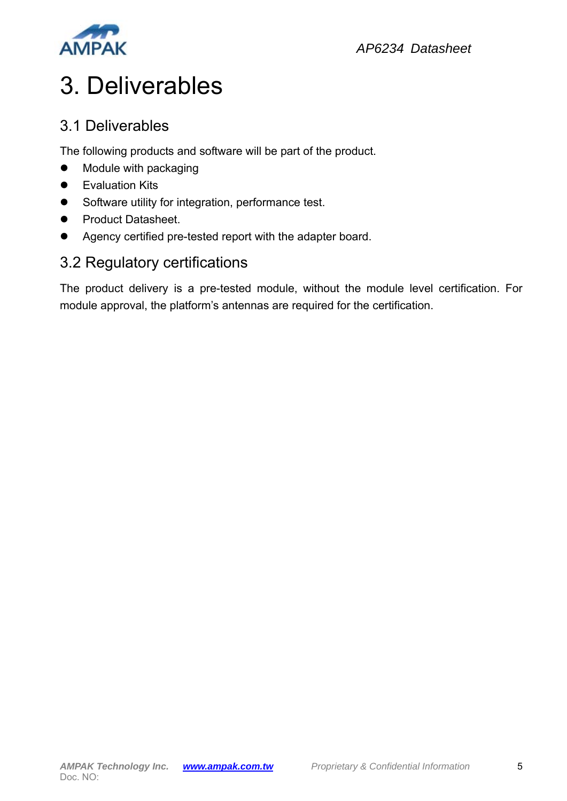

# 3. Deliverables

#### 3.1 Deliverables

The following products and software will be part of the product.

- Module with packaging
- **•** Evaluation Kits
- Software utility for integration, performance test.
- **•** Product Datasheet.
- Agency certified pre-tested report with the adapter board.

#### 3.2 Regulatory certifications

The product delivery is a pre-tested module, without the module level certification. For module approval, the platform's antennas are required for the certification.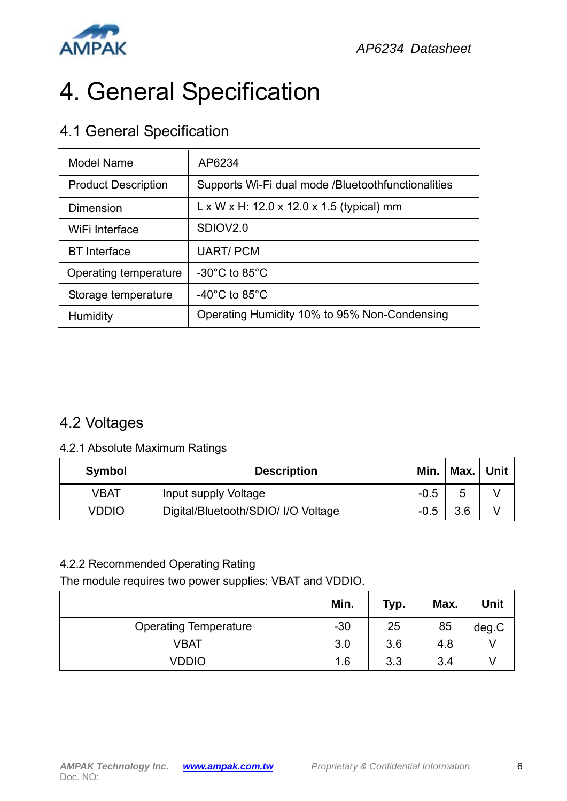

# 4. General Specification

#### 4.1 General Specification

| <b>Model Name</b>          | AP6234                                                 |  |  |
|----------------------------|--------------------------------------------------------|--|--|
| <b>Product Description</b> | Supports Wi-Fi dual mode /Bluetoothfunctionalities     |  |  |
| <b>Dimension</b>           | $L \times W \times H$ : 12.0 x 12.0 x 1.5 (typical) mm |  |  |
| WiFi Interface             | SDIOV <sub>2.0</sub>                                   |  |  |
| <b>BT</b> Interface        | <b>UART/PCM</b>                                        |  |  |
| Operating temperature      | -30 $^{\circ}$ C to 85 $^{\circ}$ C                    |  |  |
| Storage temperature        | -40 $^{\circ}$ C to 85 $^{\circ}$ C                    |  |  |
| Humidity                   | Operating Humidity 10% to 95% Non-Condensing           |  |  |

### 4.2 Voltages

#### 4.2.1 Absolute Maximum Ratings

| <b>Symbol</b> | <b>Description</b>                  |  | Min.   Max.   Unit $\parallel$ |  |
|---------------|-------------------------------------|--|--------------------------------|--|
| VBAT          | Input supply Voltage                |  | 5                              |  |
| VDDIO         | Digital/Bluetooth/SDIO/ I/O Voltage |  | 3.6                            |  |

#### 4.2.2 Recommended Operating Rating

The module requires two power supplies: VBAT and VDDIO.

|                              | Min.  | Typ. | Max. | Unit  |
|------------------------------|-------|------|------|-------|
| <b>Operating Temperature</b> | $-30$ | 25   | 85   | deg.C |
| <b>VBAT</b>                  | 3.0   | 3.6  | 4.8  |       |
| VDDIO                        | 1.6   | 3.3  | 3.4  |       |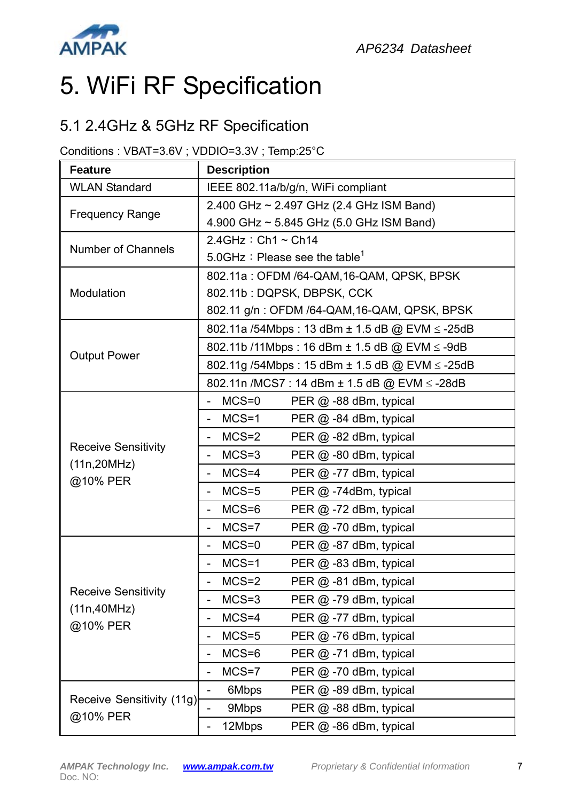

# 5. WiFi RF Specification

#### 5.1 2.4GHz & 5GHz RF Specification

#### Conditions : VBAT=3.6V ; VDDIO=3.3V ; Temp:25°C

| <b>Feature</b>                             | <b>Description</b>                                                |  |  |  |
|--------------------------------------------|-------------------------------------------------------------------|--|--|--|
| <b>WLAN Standard</b>                       | IEEE 802.11a/b/g/n, WiFi compliant                                |  |  |  |
| <b>Frequency Range</b>                     | 2.400 GHz ~ 2.497 GHz (2.4 GHz ISM Band)                          |  |  |  |
|                                            | 4.900 GHz ~ 5.845 GHz (5.0 GHz ISM Band)                          |  |  |  |
| <b>Number of Channels</b>                  | $2.4$ GHz : Ch1 ~ Ch14                                            |  |  |  |
|                                            | 5.0GHz : Please see the table <sup>1</sup>                        |  |  |  |
|                                            | 802.11a: OFDM /64-QAM, 16-QAM, QPSK, BPSK                         |  |  |  |
| Modulation                                 | 802.11b: DQPSK, DBPSK, CCK                                        |  |  |  |
|                                            | 802.11 g/n: OFDM /64-QAM, 16-QAM, QPSK, BPSK                      |  |  |  |
|                                            | 802.11a /54Mbps : 13 dBm ± 1.5 dB @ EVM ≤ -25dB                   |  |  |  |
| <b>Output Power</b>                        | 802.11b /11Mbps : 16 dBm ± 1.5 dB @ EVM ≤ -9dB                    |  |  |  |
|                                            | 802.11g /54Mbps: 15 dBm ± 1.5 dB @ EVM ≤ -25dB                    |  |  |  |
|                                            | 802.11n /MCS7 : 14 dBm ± 1.5 dB @ EVM ≤ -28dB                     |  |  |  |
|                                            | $MCS = 0$<br>PER @ -88 dBm, typical                               |  |  |  |
|                                            | $MCS=1$<br>PER @ -84 dBm, typical<br>-                            |  |  |  |
|                                            | $MCS=2$<br>PER @ -82 dBm, typical<br>$\overline{\phantom{0}}$     |  |  |  |
| <b>Receive Sensitivity</b><br>(11n, 20MHz) | $MCS=3$<br>PER @ -80 dBm, typical<br>$\overline{\phantom{0}}$     |  |  |  |
| @10% PER                                   | $MCS=4$<br>PER $@$ -77 dBm, typical<br>$\overline{\phantom{0}}$   |  |  |  |
|                                            | $MCS=5$<br>PER @ -74dBm, typical                                  |  |  |  |
|                                            | $MCS=6$<br>PER $@ -72$ dBm, typical                               |  |  |  |
|                                            | $MCS=7$<br>PER $@ - 70$ dBm, typical<br>$\overline{\phantom{0}}$  |  |  |  |
|                                            | $MCS = 0$<br>PER @ -87 dBm, typical                               |  |  |  |
|                                            | $MCS=1$<br>PER @ -83 dBm, typical<br>$\overline{a}$               |  |  |  |
|                                            | $MCS=2$<br>PER @ -81 dBm, typical                                 |  |  |  |
| <b>Receive Sensitivity</b><br>(11n, 40MHz) | $MCS=3$<br>PER @ -79 dBm, typical<br>-                            |  |  |  |
| @10% PER                                   | $MCS=4$<br>PER @ -77 dBm, typical<br>-                            |  |  |  |
|                                            | $MCS=5$<br>PER $@$ -76 dBm, typical<br>-                          |  |  |  |
|                                            | $MCS=6$<br>PER $@$ -71 dBm, typical<br>-                          |  |  |  |
|                                            | $MCS = 7$<br>PER $@$ -70 dBm, typical<br>$\overline{\phantom{0}}$ |  |  |  |
|                                            | 6Mbps<br>PER $@$ -89 dBm, typical                                 |  |  |  |
| Receive Sensitivity (11g)                  | 9Mbps<br>PER @ -88 dBm, typical                                   |  |  |  |
| @10% PER                                   | 12Mbps<br>PER @ -86 dBm, typical<br>-                             |  |  |  |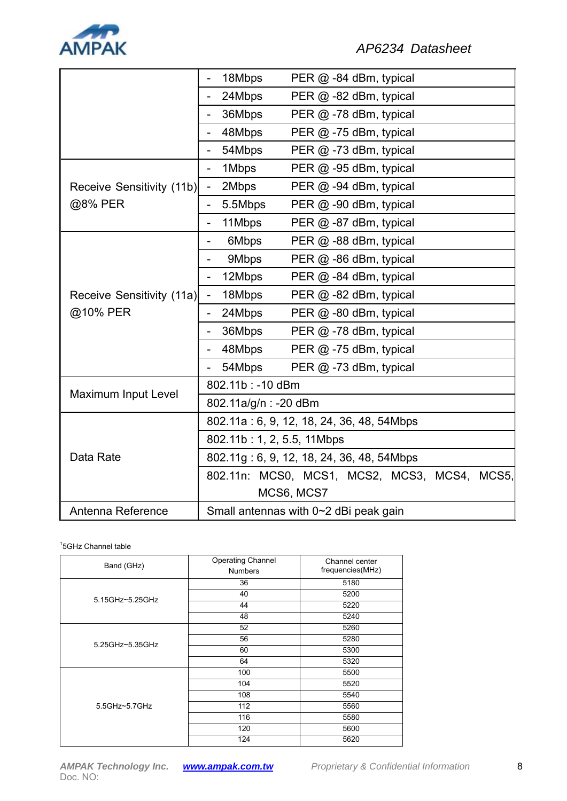

|                            | 18Mbps<br>PER $@$ -84 dBm, typical                          |  |  |  |  |
|----------------------------|-------------------------------------------------------------|--|--|--|--|
|                            | 24Mbps<br>PER $@$ -82 dBm, typical                          |  |  |  |  |
|                            | 36Mbps<br>PER $@$ -78 dBm, typical                          |  |  |  |  |
|                            | 48Mbps<br>PER @ -75 dBm, typical                            |  |  |  |  |
|                            | 54Mbps<br>PER @ -73 dBm, typical                            |  |  |  |  |
|                            | 1Mbps<br>PER @ -95 dBm, typical<br>$\overline{a}$           |  |  |  |  |
| Receive Sensitivity (11b)  | 2Mbps<br>PER @ -94 dBm, typical<br>$\blacksquare$           |  |  |  |  |
| @8% PER                    | 5.5Mbps<br>PER @ -90 dBm, typical<br>$\overline{a}$         |  |  |  |  |
|                            | 11Mbps<br>PER @ -87 dBm, typical<br>-                       |  |  |  |  |
|                            | 6Mbps<br>PER @ -88 dBm, typical<br>-                        |  |  |  |  |
|                            | 9Mbps<br>PER @ -86 dBm, typical<br>$\overline{\phantom{0}}$ |  |  |  |  |
|                            | 12Mbps<br>PER @ -84 dBm, typical                            |  |  |  |  |
| Receive Sensitivity (11a)  | ۹<br>18Mbps<br>PER @ -82 dBm, typical                       |  |  |  |  |
| @10% PER                   | 24Mbps<br>PER $@$ -80 dBm, typical                          |  |  |  |  |
|                            | 36Mbps<br>PER @ -78 dBm, typical                            |  |  |  |  |
|                            | 48Mbps<br>PER $@ -75$ dBm, typical                          |  |  |  |  |
|                            | 54Mbps<br>PER $@ - 73$ dBm, typical                         |  |  |  |  |
|                            | 802.11b: -10 dBm                                            |  |  |  |  |
| <b>Maximum Input Level</b> | 802.11a/g/n: -20 dBm                                        |  |  |  |  |
|                            | 802.11a: 6, 9, 12, 18, 24, 36, 48, 54Mbps                   |  |  |  |  |
|                            | 802.11b: 1, 2, 5.5, 11Mbps                                  |  |  |  |  |
| Data Rate                  | 802.11g: 6, 9, 12, 18, 24, 36, 48, 54Mbps                   |  |  |  |  |
|                            | 802.11n: MCS0, MCS1, MCS2, MCS3, MCS4, MCS5,                |  |  |  |  |
|                            | MCS6, MCS7                                                  |  |  |  |  |
| Antenna Reference          | Small antennas with 0~2 dBi peak gain                       |  |  |  |  |

1 5GHz Channel table

| Band (GHz)      | <b>Operating Channel</b><br><b>Numbers</b> | Channel center<br>frequencies(MHz) |
|-----------------|--------------------------------------------|------------------------------------|
|                 | 36                                         | 5180                               |
| 5.15GHz~5.25GHz | 40                                         | 5200                               |
|                 | 44                                         | 5220                               |
|                 | 48                                         | 5240                               |
|                 | 52                                         | 5260                               |
| 5.25GHz~5.35GHz | 56                                         | 5280                               |
|                 | 60                                         | 5300                               |
|                 | 64                                         | 5320                               |
|                 | 100                                        | 5500                               |
|                 | 104                                        | 5520                               |
|                 | 108                                        | 5540                               |
| 5.5GHz~5.7GHz   | 112                                        | 5560                               |
|                 | 116                                        | 5580                               |
|                 | 120                                        | 5600                               |
|                 | 124                                        | 5620                               |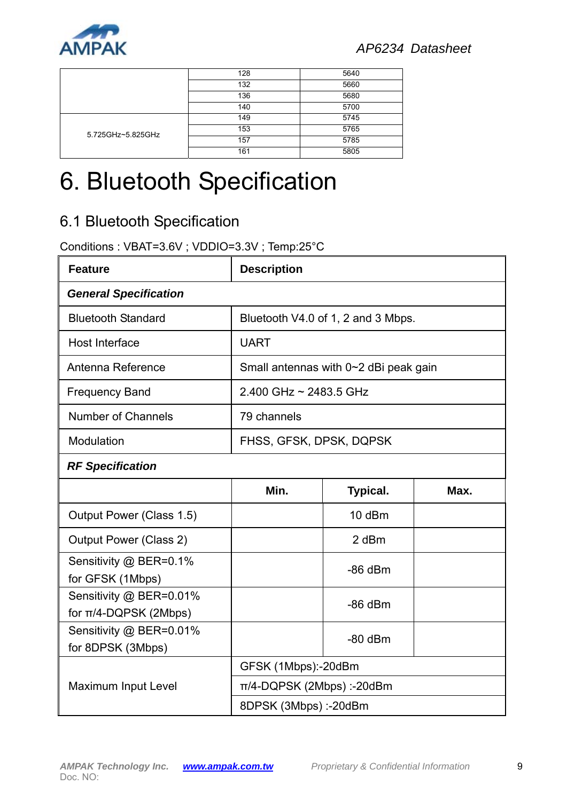

|                   | 128 | 5640 |
|-------------------|-----|------|
|                   | 132 | 5660 |
|                   | 136 | 5680 |
|                   | 140 | 5700 |
| 5.725GHz~5.825GHz | 149 | 5745 |
|                   | 153 | 5765 |
|                   | 157 | 5785 |
|                   | 161 | 5805 |

# 6. Bluetooth Specification

## 6.1 Bluetooth Specification

Conditions : VBAT=3.6V ; VDDIO=3.3V ; Temp:25°C

| <b>Feature</b>                                        | <b>Description</b>             |                                       |      |  |
|-------------------------------------------------------|--------------------------------|---------------------------------------|------|--|
| <b>General Specification</b>                          |                                |                                       |      |  |
| <b>Bluetooth Standard</b>                             |                                | Bluetooth V4.0 of 1, 2 and 3 Mbps.    |      |  |
| Host Interface                                        | <b>UART</b>                    |                                       |      |  |
| Antenna Reference                                     |                                | Small antennas with 0~2 dBi peak gain |      |  |
| <b>Frequency Band</b>                                 | 2.400 GHz ~ 2483.5 GHz         |                                       |      |  |
| <b>Number of Channels</b>                             | 79 channels                    |                                       |      |  |
| Modulation                                            | FHSS, GFSK, DPSK, DQPSK        |                                       |      |  |
| <b>RF Specification</b>                               |                                |                                       |      |  |
|                                                       | Min.                           | <b>Typical.</b>                       | Max. |  |
| Output Power (Class 1.5)                              |                                | 10 dBm                                |      |  |
| Output Power (Class 2)                                |                                | 2 dBm                                 |      |  |
| Sensitivity @ BER=0.1%<br>for GFSK (1Mbps)            |                                | $-86$ dBm                             |      |  |
| Sensitivity @ BER=0.01%<br>for $\pi$ /4-DQPSK (2Mbps) |                                | $-86$ dBm                             |      |  |
| Sensitivity @ BER=0.01%<br>for 8DPSK (3Mbps)          |                                | $-80$ dBm                             |      |  |
|                                                       | GFSK (1Mbps):-20dBm            |                                       |      |  |
| Maximum Input Level                                   | $\pi$ /4-DQPSK (2Mbps) :-20dBm |                                       |      |  |
|                                                       | 8DPSK (3Mbps) :-20dBm          |                                       |      |  |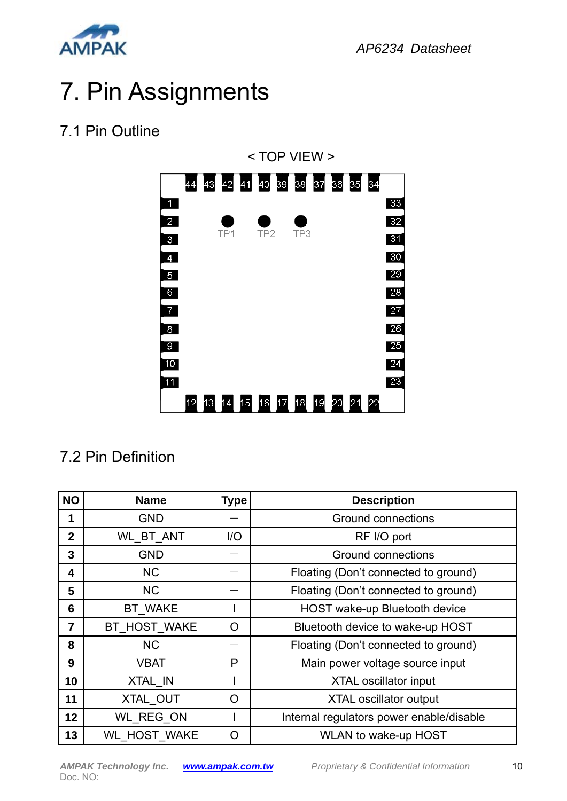

# 7. Pin Assignments

## 7.1 Pin Outline



## 7.2 Pin Definition

| <b>NO</b>      | <b>Name</b>         | <b>Type</b> | <b>Description</b>                       |  |
|----------------|---------------------|-------------|------------------------------------------|--|
| 1              | <b>GND</b>          |             | <b>Ground connections</b>                |  |
| $\overline{2}$ | <b>WL BT ANT</b>    | I/O         | RF I/O port                              |  |
| 3              | <b>GND</b>          |             | <b>Ground connections</b>                |  |
| 4              | <b>NC</b>           |             | Floating (Don't connected to ground)     |  |
| 5              | N <sub>C</sub>      |             | Floating (Don't connected to ground)     |  |
| 6              | <b>BT WAKE</b>      |             | <b>HOST wake-up Bluetooth device</b>     |  |
| 7              | BT HOST WAKE        | O           | Bluetooth device to wake-up HOST         |  |
| 8              | <b>NC</b>           |             | Floating (Don't connected to ground)     |  |
| 9              | VBAT                | P           | Main power voltage source input          |  |
| 10             | XTAL IN             |             | <b>XTAL oscillator input</b>             |  |
| 11             | XTAL OUT            | O           | <b>XTAL oscillator output</b>            |  |
| 12             | WL REG ON           |             | Internal regulators power enable/disable |  |
| 13             | <b>WL HOST WAKE</b> | O           | <b>WLAN to wake-up HOST</b>              |  |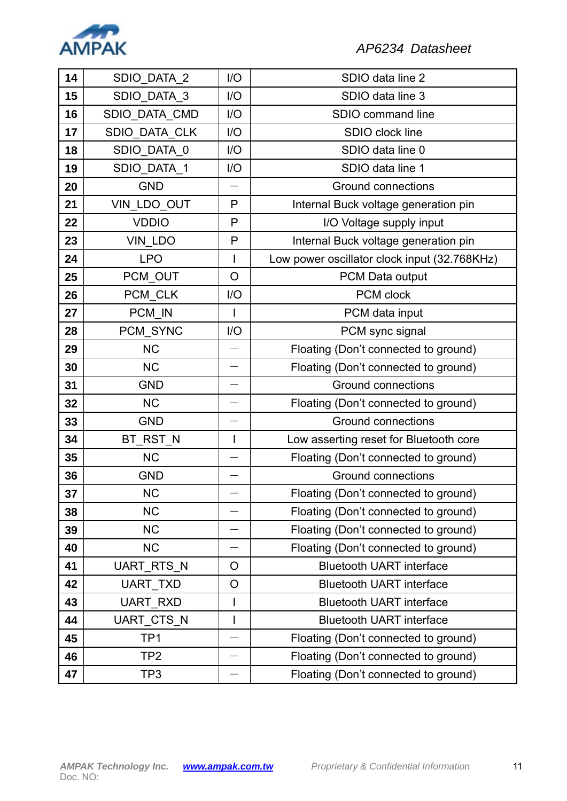

| 14 | SDIO DATA 2          | I/O                      | SDIO data line 2                             |  |  |
|----|----------------------|--------------------------|----------------------------------------------|--|--|
| 15 | SDIO_DATA_3          | I/O                      | SDIO data line 3                             |  |  |
| 16 | SDIO_DATA_CMD        | I/O                      | SDIO command line                            |  |  |
| 17 | <b>SDIO DATA CLK</b> | 1/O                      | SDIO clock line                              |  |  |
| 18 | SDIO_DATA_0          | I/O                      | SDIO data line 0                             |  |  |
| 19 | SDIO_DATA_1          | I/O                      | SDIO data line 1                             |  |  |
| 20 | <b>GND</b>           |                          | <b>Ground connections</b>                    |  |  |
| 21 | VIN_LDO_OUT          | P                        | Internal Buck voltage generation pin         |  |  |
| 22 | <b>VDDIO</b>         | P                        | I/O Voltage supply input                     |  |  |
| 23 | VIN_LDO              | P                        | Internal Buck voltage generation pin         |  |  |
| 24 | <b>LPO</b>           | 1                        | Low power oscillator clock input (32.768KHz) |  |  |
| 25 | PCM_OUT              | $\circ$                  | PCM Data output                              |  |  |
| 26 | PCM_CLK              | I/O                      | <b>PCM</b> clock                             |  |  |
| 27 | PCM IN               |                          | PCM data input                               |  |  |
| 28 | PCM_SYNC             | I/O                      | PCM sync signal                              |  |  |
| 29 | <b>NC</b>            |                          | Floating (Don't connected to ground)         |  |  |
| 30 | <b>NC</b>            |                          | Floating (Don't connected to ground)         |  |  |
| 31 | <b>GND</b>           |                          | <b>Ground connections</b>                    |  |  |
| 32 | <b>NC</b>            |                          | Floating (Don't connected to ground)         |  |  |
| 33 | <b>GND</b>           |                          | <b>Ground connections</b>                    |  |  |
| 34 | BT_RST_N             | $\overline{\phantom{a}}$ | Low asserting reset for Bluetooth core       |  |  |
| 35 | <b>NC</b>            |                          | Floating (Don't connected to ground)         |  |  |
| 36 | <b>GND</b>           |                          | <b>Ground connections</b>                    |  |  |
| 37 | <b>NC</b>            |                          | Floating (Don't connected to ground)         |  |  |
| 38 | <b>NC</b>            |                          | Floating (Don't connected to ground)         |  |  |
| 39 | <b>NC</b>            | Ľ                        | Floating (Don't connected to ground)         |  |  |
| 40 | <b>NC</b>            |                          | Floating (Don't connected to ground)         |  |  |
| 41 | UART_RTS_N           | $\overline{O}$           | <b>Bluetooth UART interface</b>              |  |  |
| 42 | <b>UART TXD</b>      | O                        | <b>Bluetooth UART interface</b>              |  |  |
| 43 | <b>UART RXD</b>      |                          | <b>Bluetooth UART interface</b>              |  |  |
| 44 | UART_CTS_N           | I                        | <b>Bluetooth UART interface</b>              |  |  |
| 45 | TP <sub>1</sub>      |                          | Floating (Don't connected to ground)         |  |  |
| 46 | TP2                  |                          | Floating (Don't connected to ground)         |  |  |
| 47 | TP3                  |                          | Floating (Don't connected to ground)         |  |  |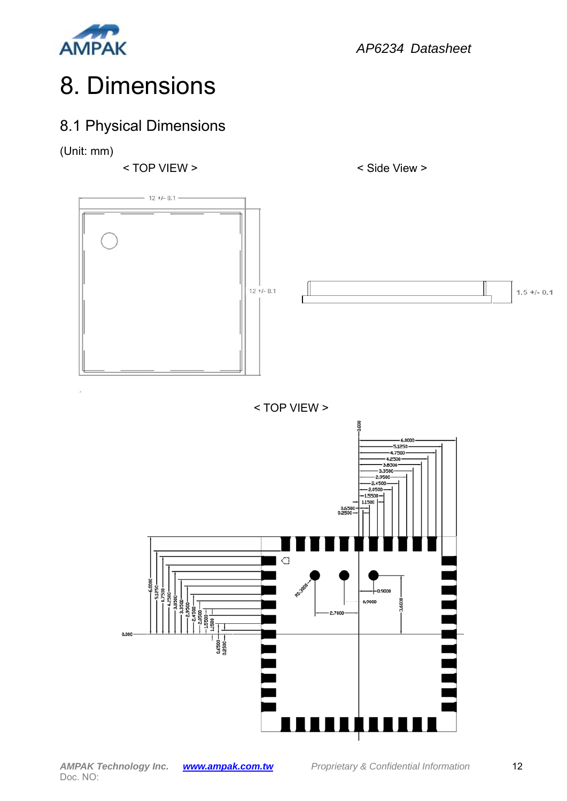

# 8. Dimensions

## 8.1 Physical Dimensions

(Unit: mm)

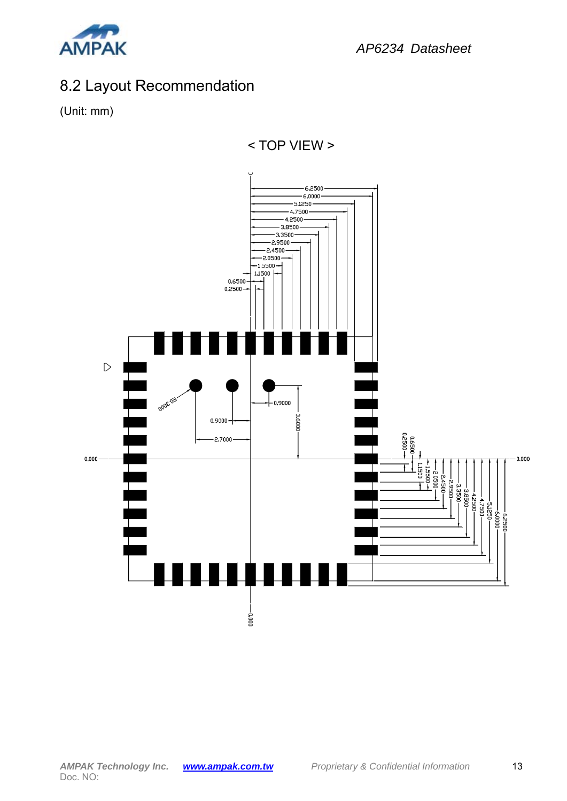

## 8.2 Layout Recommendation

(Unit: mm)



< TOP VIEW >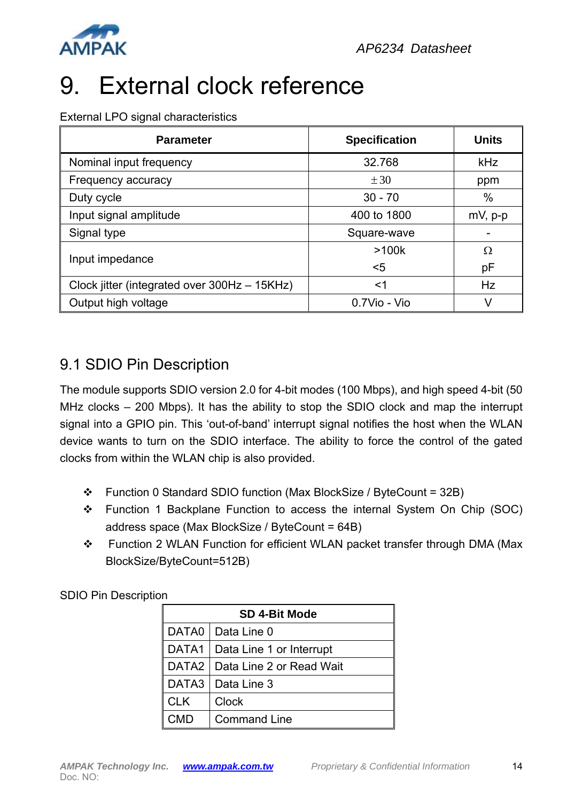

# 9. External clock reference

External LPO signal characteristics

| <b>Parameter</b>                             | <b>Specification</b> | <b>Units</b> |
|----------------------------------------------|----------------------|--------------|
| Nominal input frequency                      | 32.768               | kHz          |
| Frequency accuracy                           | $\pm 30$             | ppm          |
| Duty cycle                                   | $30 - 70$            | %            |
| Input signal amplitude                       | 400 to 1800          | $mV$ , $p-p$ |
| Signal type                                  | Square-wave          |              |
|                                              | >100k                | Ω            |
| Input impedance                              | $5$                  | рF           |
| Clock jitter (integrated over 300Hz - 15KHz) | <1                   | Hz           |
| Output high voltage                          | 0.7Vio - Vio         |              |

#### 9.1 SDIO Pin Description

The module supports SDIO version 2.0 for 4-bit modes (100 Mbps), and high speed 4-bit (50 MHz clocks – 200 Mbps). It has the ability to stop the SDIO clock and map the interrupt signal into a GPIO pin. This 'out-of-band' interrupt signal notifies the host when the WLAN device wants to turn on the SDIO interface. The ability to force the control of the gated clocks from within the WLAN chip is also provided.

- Function 0 Standard SDIO function (Max BlockSize / ByteCount = 32B)
- \* Function 1 Backplane Function to access the internal System On Chip (SOC) address space (Max BlockSize / ByteCount = 64B)
- \* Function 2 WLAN Function for efficient WLAN packet transfer through DMA (Max BlockSize/ByteCount=512B)

SDIO Pin Description

|                   | <b>SD 4-Bit Mode</b>     |  |  |
|-------------------|--------------------------|--|--|
| DATA0             | Data Line 0              |  |  |
| DATA1             | Data Line 1 or Interrupt |  |  |
| DATA <sub>2</sub> | Data Line 2 or Read Wait |  |  |
| DATA3             | Data Line 3              |  |  |
| <b>CLK</b>        | Clock                    |  |  |
| CMD               | <b>Command Line</b>      |  |  |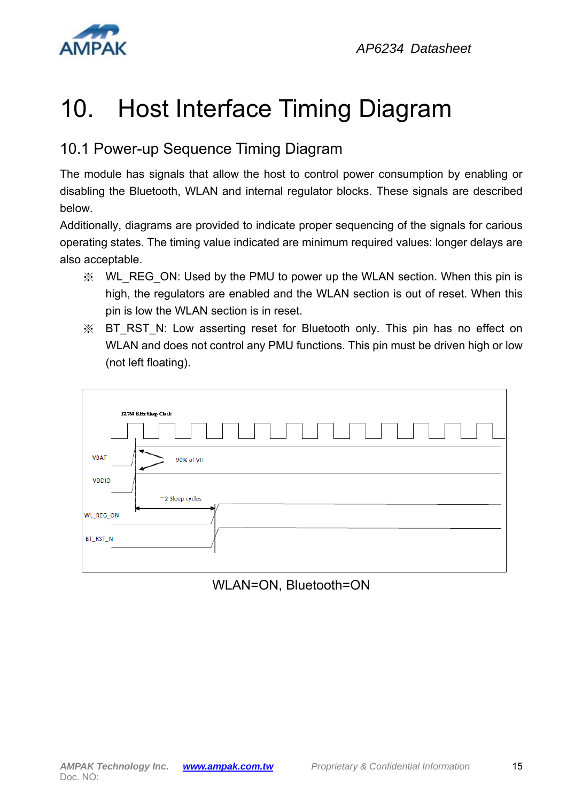

## 10. Host Interface Timing Diagram

## 10.1 Power-up Sequence Timing Diagram

The module has signals that allow the host to control power consumption by enabling or disabling the Bluetooth, WLAN and internal regulator blocks. These signals are described below.

Additionally, diagrams are provided to indicate proper sequencing of the signals for carious operating states. The timing value indicated are minimum required values: longer delays are also acceptable.

- ※ WL\_REG\_ON: Used by the PMU to power up the WLAN section. When this pin is high, the regulators are enabled and the WLAN section is out of reset. When this pin is low the WLAN section is in reset.
- ※ BT\_RST\_N: Low asserting reset for Bluetooth only. This pin has no effect on WLAN and does not control any PMU functions. This pin must be driven high or low (not left floating).



#### WLAN=ON, Bluetooth=ON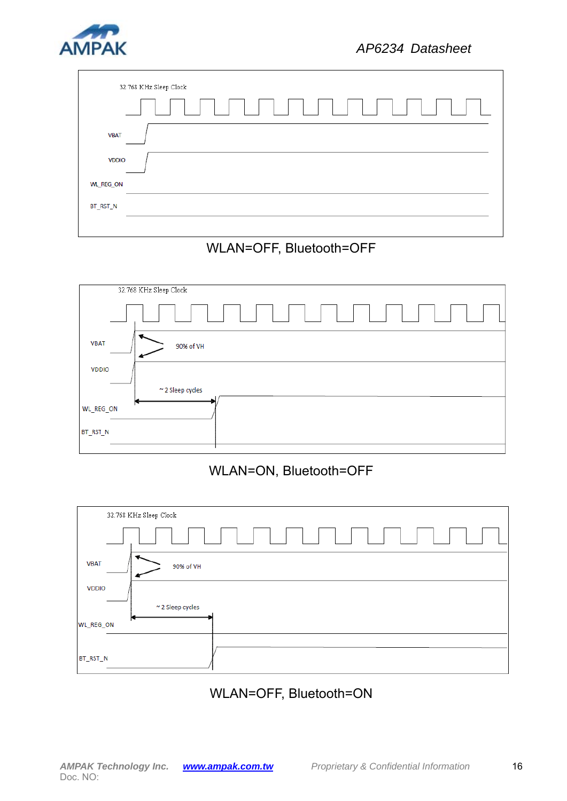

| 32.768 KHz Sleep Clock |  |
|------------------------|--|
| .<br>$\mathbb{R}^n$    |  |
| <b>VBAT</b>            |  |
| <b>VDDIO</b>           |  |
| <b>WL_REG_ON</b>       |  |
| BT_RST_N               |  |
|                        |  |

# 32.768 KHz Sleep Clock

WLAN=OFF, Bluetooth=OFF



#### WLAN=ON, Bluetooth=OFF



#### WLAN=OFF, Bluetooth=ON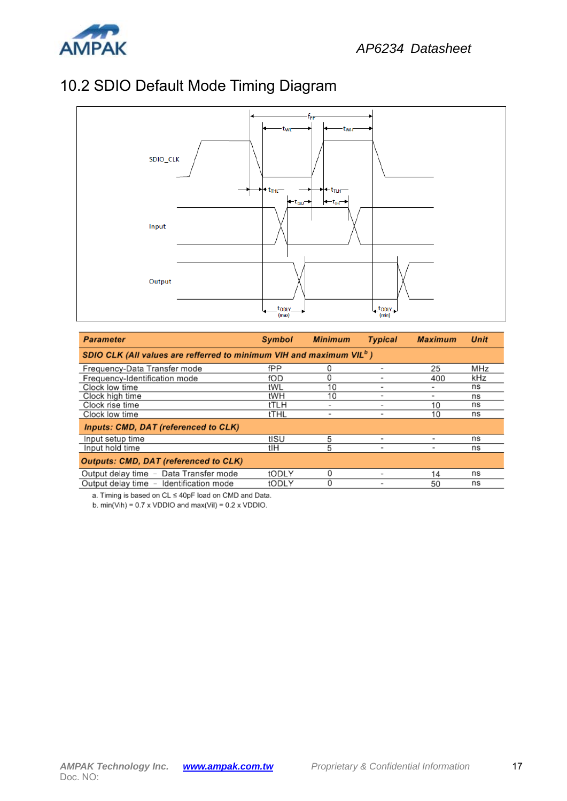## 10.2 SDIO Default Mode Timing Diagram



| <b>Parameter</b>                                                         | <b>Symbol</b> | <b>Minimum</b> | <b>Typical</b>           | <b>Maximum</b>           | Unit |
|--------------------------------------------------------------------------|---------------|----------------|--------------------------|--------------------------|------|
| SDIO CLK (All values are refferred to minimum VIH and maximum VIL $^b$ ) |               |                |                          |                          |      |
| Frequency-Data Transfer mode                                             | fPP           | 0              |                          | 25                       | MHz  |
| Frequency-Identification mode                                            | fOD           | 0              | ۰                        | 400                      | kHz  |
| Clock low time                                                           | tWL           | 10             | ۰                        | ۰                        | ns   |
| Clock high time                                                          | tWH           | 10             |                          | $\overline{\phantom{a}}$ | ns   |
| Clock rise time                                                          | tTLH          | ۰              |                          | 10                       | ns   |
| Clock low time                                                           | tTHL          | $\blacksquare$ | $\overline{\phantom{0}}$ | 10                       | ns   |
| <b>Inputs: CMD, DAT (referenced to CLK)</b>                              |               |                |                          |                          |      |
| Input setup time                                                         | tISU          | 5              | -                        | $\overline{\phantom{0}}$ | ns   |
| Input hold time                                                          | tlH           | 5              | ۰                        | $\overline{a}$           | ns   |
| <b>Outputs: CMD, DAT (referenced to CLK)</b>                             |               |                |                          |                          |      |
| Output delay time - Data Transfer mode                                   | tODLY         | 0              |                          | 14                       | ns   |
| Output delay time - Identification mode                                  | tODLY         | 0              |                          | 50                       | ns   |

a. Timing is based on CL ≤ 40pF load on CMD and Data.

b. min(Vih) =  $0.7 \times$  VDDIO and max(ViI) =  $0.2 \times$  VDDIO.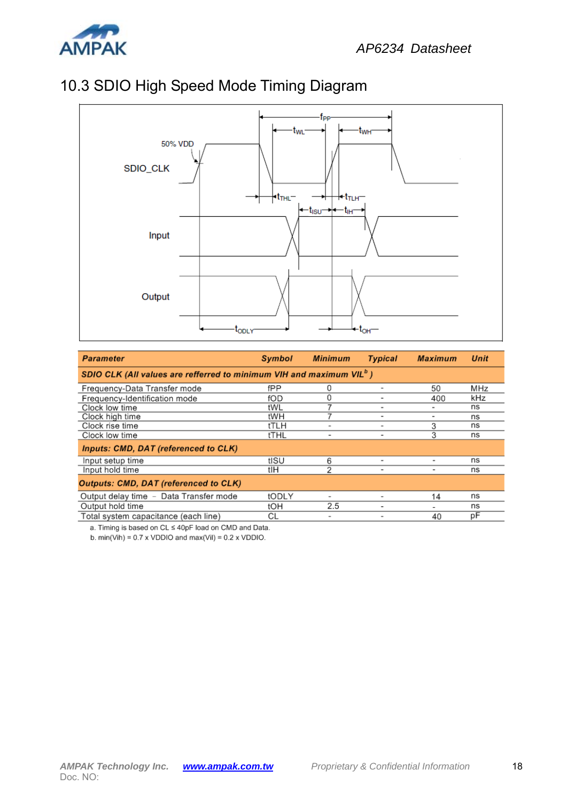

#### 10.3 SDIO High Speed Mode Timing Diagram



| <b>Parameter</b>                                                                 | Symbol | <b>Minimum</b> | <b>Typical</b> | <b>Maximum</b>           | <b>Unit</b> |
|----------------------------------------------------------------------------------|--------|----------------|----------------|--------------------------|-------------|
| SDIO CLK (All values are refferred to minimum VIH and maximum VIL <sup>o</sup> ) |        |                |                |                          |             |
| Frequency-Data Transfer mode                                                     | fPP    | 0              |                | 50                       | MHz         |
| Frequency-Identification mode                                                    | fOD    | 0              |                | 400                      | kHz         |
| Clock low time                                                                   | tWL    |                | ۰              |                          | ns          |
| Clock high time                                                                  | tWH    |                | $\blacksquare$ | ۰                        | ns          |
| Clock rise time                                                                  | tTLH   |                |                | 3                        | ns          |
| Clock low time                                                                   | tTHL   | ۰              | ۰              | 3                        | ns          |
| Inputs: CMD, DAT (referenced to CLK)                                             |        |                |                |                          |             |
| Input setup time                                                                 | tISU   | 6              |                |                          | ns          |
| Input hold time                                                                  | tlH    | 2              |                | $\overline{\phantom{a}}$ | ns          |
| <b>Outputs: CMD, DAT (referenced to CLK)</b>                                     |        |                |                |                          |             |
| Output delay time - Data Transfer mode                                           | tODLY  |                |                | 14                       | ns          |
| Output hold time                                                                 | tOH    | 2.5            |                |                          | ns          |
| Total system capacitance (each line)                                             | СL     | ۰              |                | 40                       | рF          |

a. Timing is based on CL ≤ 40pF load on CMD and Data.

b.  $min(Vih) = 0.7 \times VDDIO$  and  $max(Vil) = 0.2 \times VDDIO$ .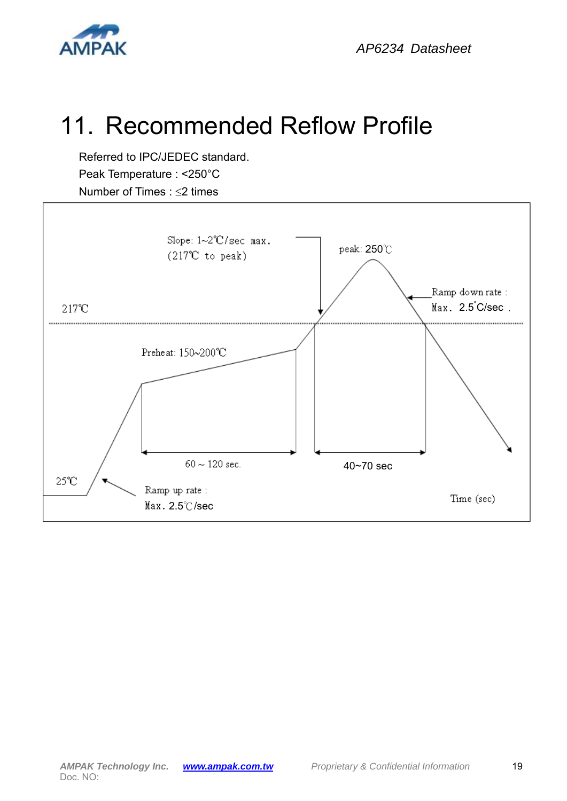

## 11. Recommended Reflow Profile

Referred to IPC/JEDEC standard. Peak Temperature : <250°C Number of Times :  $\leq$ 2 times

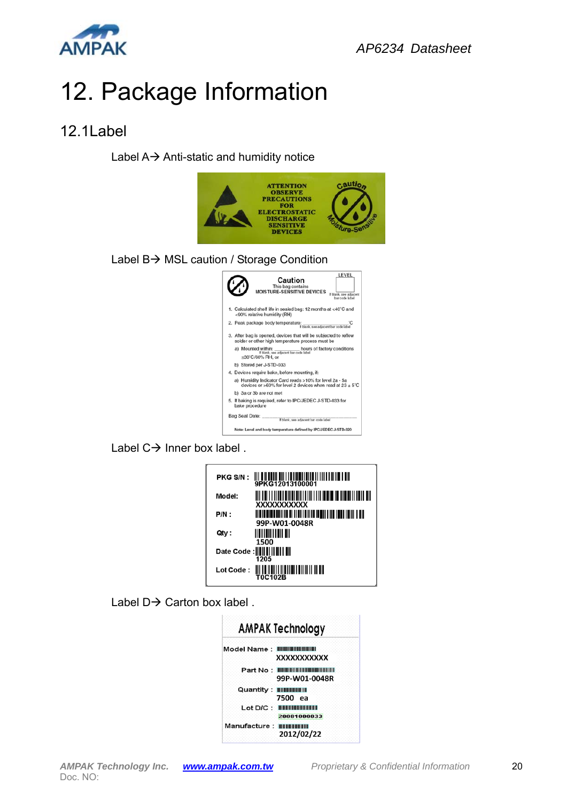

# 12. Package Information

#### 12.1Label

Label  $A \rightarrow$  Anti-static and humidity notice



Label  $C \rightarrow$  Inner box label.

| PKG S/N:  |                                             |
|-----------|---------------------------------------------|
| Model:    | XXXXXXXXXXX                                 |
| P/N :     | 99P-W01-0048R                               |
| Qty :     | <u> HELLEH LEHEN ER</u><br>1500             |
|           | Date Code :                        <br>1205 |
| Lot Code: | <b>T0C102B</b>                              |

Label  $D \rightarrow$  Carton box label.

| AMPAK Technology                                              |
|---------------------------------------------------------------|
| Model Name: 副副團訓訓訓<br>XXXXXXXXXXX                             |
| Part No : <b>BUILD IN BUILD AND THE REAL</b><br>99P-W01-0048R |
| Quantity: <b>IIIIIIIIIIIII</b><br>7500 еа                     |
| Lot D/C : BUILDINGULL<br>20081000033                          |
| Manufacture: WEBBBWHH<br>2012/02/22                           |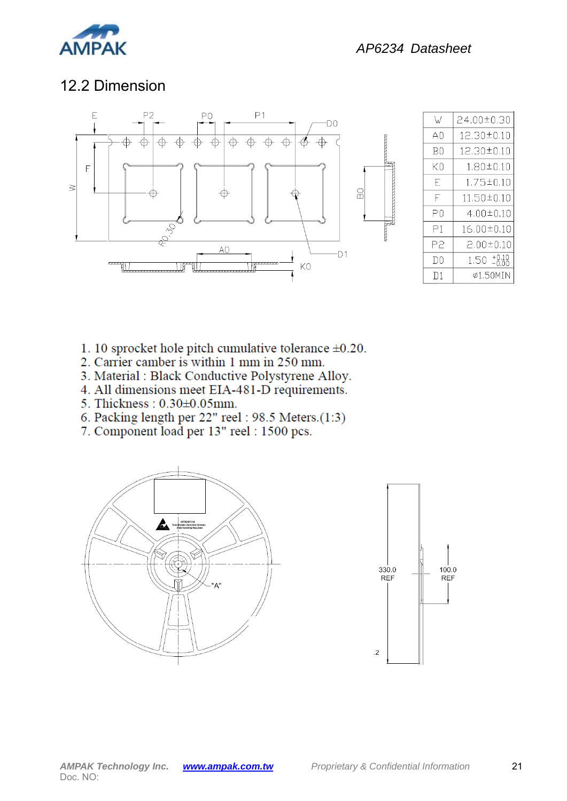

#### 12.2 Dimension



| W   | 24.00±0.30      |
|-----|-----------------|
| AŪ  | 12.30±0.10      |
| ВO  | 12.30±0.10      |
| КO  | 1.80±0.10       |
| E   | $1.75 \pm 0.10$ |
| F   | 11.50±0.10      |
| РO  | $4.00 \pm 0.10$ |
| Р1  | 16,00±0.10      |
| P2  | $2.00 \pm 0.10$ |
| IJO | 1.50.           |
| D1  | ø1.50MIN        |

- 1. 10 sprocket hole pitch cumulative tolerance  $\pm 0.20$ .
- 2. Carrier camber is within 1 mm in 250 mm.
- 3. Material : Black Conductive Polystyrene Alloy.
- 4. All dimensions meet EIA-481-D requirements.
- 5. Thickness: 0.30±0.05mm.
- 6. Packing length per 22" reel: 98.5 Meters.(1:3)
- 7. Component load per 13" reel : 1500 pcs.



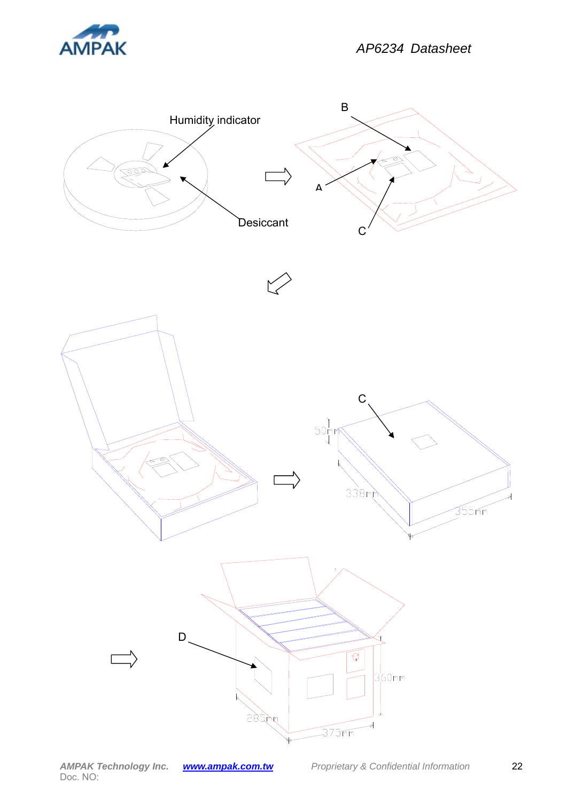